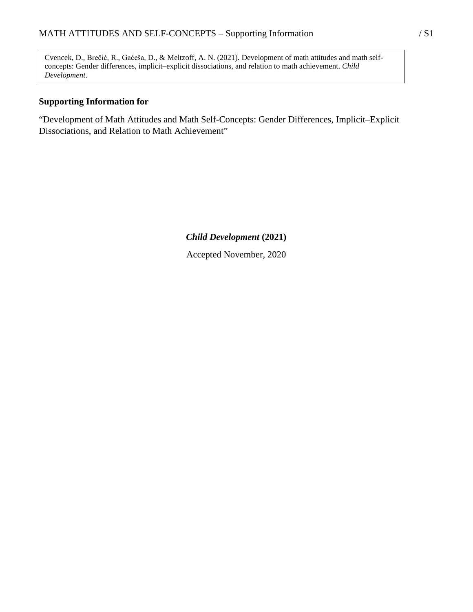Cvencek, D., Brečić, R., Gaćeša, D., & Meltzoff, A. N. (2021). Development of math attitudes and math selfconcepts: Gender differences, implicit–explicit dissociations, and relation to math achievement. *Child Development*.

#### **Supporting Information for**

"Development of Math Attitudes and Math Self-Concepts: Gender Differences, Implicit–Explicit Dissociations, and Relation to Math Achievement"

*Child Development* **(2021)**

Accepted November, 2020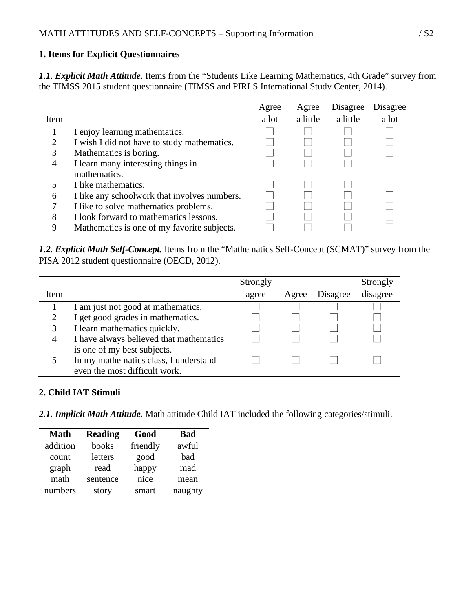# **1. Items for Explicit Questionnaires**

*1.1. Explicit Math Attitude.* Items from the "Students Like Learning Mathematics, 4th Grade" survey from the TIMSS 2015 student questionnaire (TIMSS and PIRLS International Study Center, 2014).

|             |                                              | Agree | Agree    | Disagree | Disagree |
|-------------|----------------------------------------------|-------|----------|----------|----------|
| <b>Item</b> |                                              | a lot | a little | a little | a lot    |
|             | I enjoy learning mathematics.                |       |          |          |          |
| っ           | I wish I did not have to study mathematics.  |       |          |          |          |
| 3           | Mathematics is boring.                       |       |          |          |          |
| 4           | I learn many interesting things in           |       |          |          |          |
|             | mathematics.                                 |       |          |          |          |
|             | I like mathematics.                          |       |          |          |          |
| 6           | I like any schoolwork that involves numbers. |       |          |          |          |
|             | I like to solve mathematics problems.        |       |          |          |          |
| 8           | I look forward to mathematics lessons.       |       |          |          |          |
|             | Mathematics is one of my favorite subjects.  |       |          |          |          |

*1.2. Explicit Math Self-Concept.* Items from the "Mathematics Self-Concept (SCMAT)" survey from the PISA 2012 student questionnaire (OECD, 2012).

|      |                                         | Strongly |       |          | Strongly |
|------|-----------------------------------------|----------|-------|----------|----------|
| Item |                                         | agree    | Agree | Disagree | disagree |
|      | I am just not good at mathematics.      |          |       |          |          |
|      | I get good grades in mathematics.       |          |       |          |          |
| 3    | I learn mathematics quickly.            |          |       |          |          |
| 4    | I have always believed that mathematics |          |       |          |          |
|      | is one of my best subjects.             |          |       |          |          |
|      | In my mathematics class, I understand   |          |       |          |          |
|      | even the most difficult work.           |          |       |          |          |

## **2. Child IAT Stimuli**

*2.1. Implicit Math Attitude.* Math attitude Child IAT included the following categories/stimuli.

| <b>Math</b> | Reading  | Good     | <b>Bad</b> |
|-------------|----------|----------|------------|
| addition    | books    | friendly | awful      |
| count       | letters  | good     | bad        |
| graph       | read     | happy    | mad        |
| math        | sentence | nice     | mean       |
| numbers     | story    | smart    | naughty    |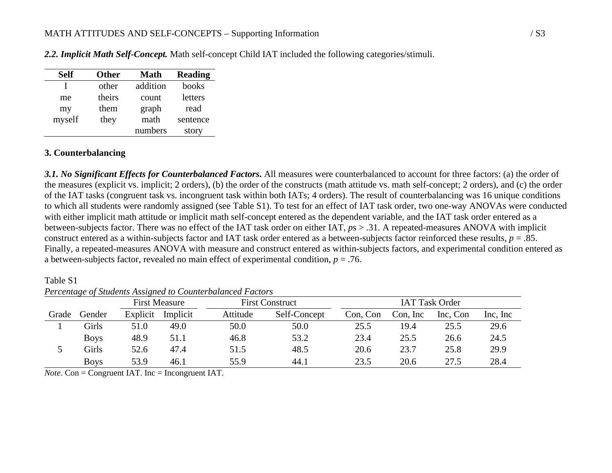| <b>Self</b> | <b>Other</b> | Math     | <b>Reading</b> |
|-------------|--------------|----------|----------------|
|             | other        | addition | books          |
| me          | theirs       | count    | letters        |
| my          | them         | graph    | read           |
| myself      | they         | math     | sentence       |
|             |              | numbers  | story          |

*2.2. Implicit Math Self-Concept.* Math self-concept Child IAT included the following categories/stimuli.

#### **3. Counterbalancing**

*3.1. No Significant Effects for Counterbalanced Factors***.** All measures were counterbalanced to account for three factors: (a) the order of the measures (explicit vs. implicit; 2 orders), (b) the order of the constructs (math attitude vs. math self-concept; 2 orders), and (c) the order of the IAT tasks (congruent task vs. incongruent task within both IATs; 4 orders). The result of counterbalancing was 16 unique conditions to which all students were randomly assigned (see Table S1). To test for an effect of IAT task order, two one-way ANOVAs were conducted with either implicit math attitude or implicit math self-concept entered as the dependent variable, and the IAT task order entered as a between-subjects factor. There was no effect of the IAT task order on either IAT, *p*s > .31. A repeated-measures ANOVA with implicit construct entered as a within-subjects factor and IAT task order entered as a between-subjects factor reinforced these results, *p* = .85. Finally, a repeated-measures ANOVA with measure and construct entered as within-subjects factors, and experimental condition entered as a between-subjects factor, revealed no main effect of experimental condition, *p* = .76.

First Measure First Construct IAT Task Order Grade Gender Explicit Implicit Attitude Self-Concept Con, Con Con, Inc Inc, Con Inc, Inc 1 Girls 51.0 49.0 50.0 50.0 25.5 19.4 25.5 29.6 Boys 48.9 51.1 46.8 53.2 23.4 25.5 26.6 24.5 5 Girls 52.6 47.4 51.5 48.5 20.6 23.7 25.8 29.9 Boys 53.9 46.1 55.9 44.1 23.5 20.6 27.5 28.4

Table S1 *Percentage of Students Assigned to Counterbalanced Factors*

 $\overline{Note. Con} =$  Congruent IAT. Inc = Incongruent IAT.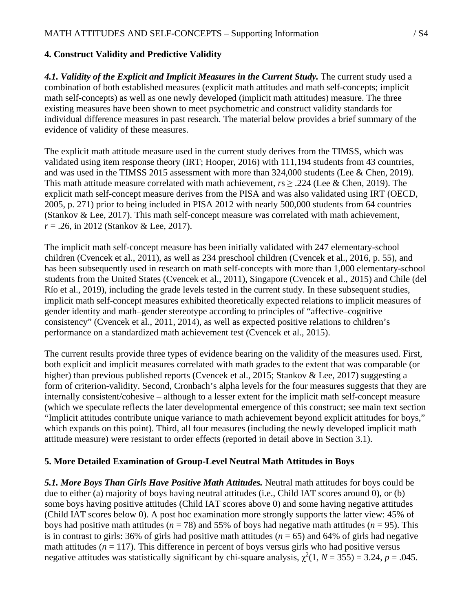## **4. Construct Validity and Predictive Validity**

4.1. Validity of the Explicit and Implicit Measures in the Current Study. The current study used a combination of both established measures (explicit math attitudes and math self-concepts; implicit math self-concepts) as well as one newly developed (implicit math attitudes) measure. The three existing measures have been shown to meet psychometric and construct validity standards for individual difference measures in past research. The material below provides a brief summary of the evidence of validity of these measures.

The explicit math attitude measure used in the current study derives from the TIMSS, which was validated using item response theory (IRT; Hooper, 2016) with 111,194 students from 43 countries, and was used in the TIMSS 2015 assessment with more than 324,000 students (Lee & Chen, 2019). This math attitude measure correlated with math achievement, *r*s ≥ .224 (Lee & Chen, 2019). The explicit math self-concept measure derives from the PISA and was also validated using IRT (OECD, 2005, p. 271) prior to being included in PISA 2012 with nearly 500,000 students from 64 countries (Stankov & Lee, 2017). This math self-concept measure was correlated with math achievement, *r* = .26, in 2012 (Stankov & Lee, 2017).

The implicit math self-concept measure has been initially validated with 247 elementary-school children (Cvencek et al., 2011), as well as 234 preschool children (Cvencek et al., 2016, p. 55), and has been subsequently used in research on math self-concepts with more than 1,000 elementary-school students from the United States (Cvencek et al., 2011), Singapore (Cvencek et al., 2015) and Chile (del Río et al., 2019), including the grade levels tested in the current study. In these subsequent studies, implicit math self-concept measures exhibited theoretically expected relations to implicit measures of gender identity and math–gender stereotype according to principles of "affective–cognitive consistency" (Cvencek et al., 2011, 2014), as well as expected positive relations to children's performance on a standardized math achievement test (Cvencek et al., 2015).

The current results provide three types of evidence bearing on the validity of the measures used. First, both explicit and implicit measures correlated with math grades to the extent that was comparable (or higher) than previous published reports (Cvencek et al., 2015; Stankov & Lee, 2017) suggesting a form of criterion-validity. Second, Cronbach's alpha levels for the four measures suggests that they are internally consistent/cohesive – although to a lesser extent for the implicit math self-concept measure (which we speculate reflects the later developmental emergence of this construct; see main text section "Implicit attitudes contribute unique variance to math achievement beyond explicit attitudes for boys," which expands on this point). Third, all four measures (including the newly developed implicit math attitude measure) were resistant to order effects (reported in detail above in Section 3.1).

## **5. More Detailed Examination of Group-Level Neutral Math Attitudes in Boys**

*5.1. More Boys Than Girls Have Positive Math Attitudes.* Neutral math attitudes for boys could be due to either (a) majority of boys having neutral attitudes (i.e., Child IAT scores around 0), or (b) some boys having positive attitudes (Child IAT scores above 0) and some having negative attitudes (Child IAT scores below 0). A post hoc examination more strongly supports the latter view: 45% of boys had positive math attitudes ( $n = 78$ ) and 55% of boys had negative math attitudes ( $n = 95$ ). This is in contrast to girls: 36% of girls had positive math attitudes  $(n = 65)$  and 64% of girls had negative math attitudes  $(n = 117)$ . This difference in percent of boys versus girls who had positive versus negative attitudes was statistically significant by chi-square analysis,  $\chi^2(1, N = 355) = 3.24$ ,  $p = .045$ .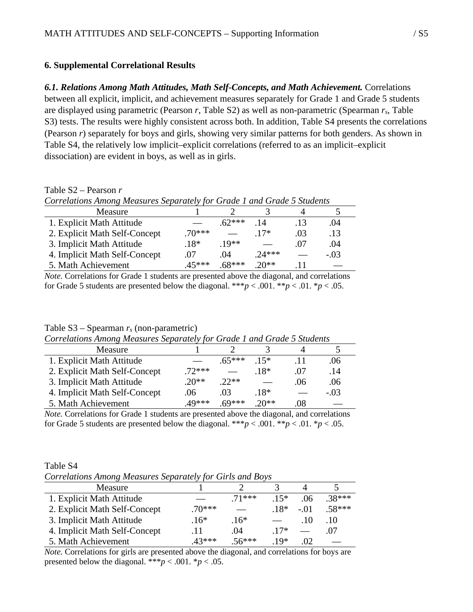#### **6. Supplemental Correlational Results**

Table S2 – Pearson *r*

*6.1. Relations Among Math Attitudes, Math Self-Concepts, and Math Achievement.* Correlations between all explicit, implicit, and achievement measures separately for Grade 1 and Grade 5 students are displayed using parametric (Pearson *r*, Table S2) as well as non-parametric (Spearman *rs*, Table S3) tests. The results were highly consistent across both. In addition, Table S4 presents the correlations (Pearson *r*) separately for boys and girls, showing very similar patterns for both genders. As shown in Table S4, the relatively low implicit–explicit correlations (referred to as an implicit–explicit dissociation) are evident in boys, as well as in girls.

| Correlations Among Measures Separately for Grade 1 and Grade 5 Students |          |          |         |     |        |  |
|-------------------------------------------------------------------------|----------|----------|---------|-----|--------|--|
| Measure                                                                 |          |          |         |     |        |  |
| 1. Explicit Math Attitude                                               |          | $62***$  | .14     | .13 | .04    |  |
| 2. Explicit Math Self-Concept                                           | $.70***$ |          | $17*$   | .03 | .13    |  |
| 3. Implicit Math Attitude                                               | $.18*$   | $19**$   |         | .07 | .04    |  |
| 4. Implicit Math Self-Concept                                           | .07      | .04      | $24***$ |     | $-.03$ |  |
| 5. Math Achievement                                                     | $45***$  | $.68***$ | $20**$  |     |        |  |

*Note.* Correlations for Grade 1 students are presented above the diagonal, and correlations for Grade 5 students are presented below the diagonal. \*\*\* $p < .001$ . \*\* $p < .01$ . \* $p < .05$ .

#### Table S3 – Spearman *rs* (non-parametric)

| Correlations Among measures Separately for Grade 1 and Grade 5 Students |          |          |         |     |        |  |
|-------------------------------------------------------------------------|----------|----------|---------|-----|--------|--|
| Measure                                                                 |          |          |         |     |        |  |
| 1. Explicit Math Attitude                                               |          | $.65***$ | $15*$   |     | .06    |  |
| 2. Explicit Math Self-Concept                                           | $.72***$ |          | $18*$   | .07 | .14    |  |
| 3. Implicit Math Attitude                                               | $20**$   | $22**$   |         | .06 | .06    |  |
| 4. Implicit Math Self-Concept                                           | $.06 -$  | 03       | $.18*$  |     | $-.03$ |  |
| 5. Math Achievement                                                     | .49***   | $.69***$ | $.20**$ | .08 |        |  |

*Correlations Among Measures Separately for Grade 1 and Grade 5 Students*

*Note.* Correlations for Grade 1 students are presented above the diagonal, and correlations for Grade 5 students are presented below the diagonal. \*\*\* $p < .001$ . \*\* $p < .01$ . \* $p < .05$ .

| Table S4                                                  |  |  |
|-----------------------------------------------------------|--|--|
| Correlations Among Measures Separately for Girls and Boys |  |  |

| Measure                       |          |         |       |       |          |
|-------------------------------|----------|---------|-------|-------|----------|
| 1. Explicit Math Attitude     |          | $71***$ | $15*$ | .06   | $.38***$ |
| 2. Explicit Math Self-Concept | $.70***$ |         | $18*$ | $-01$ | $.58***$ |
| 3. Implicit Math Attitude     | $.16*$   | $.16*$  |       | .10   | .10      |
| 4. Implicit Math Self-Concept | .11      | .04     | $17*$ |       | .07      |
| 5. Math Achievement           | $43***$  | $56***$ | $10*$ | റാ    |          |

*Note.* Correlations for girls are presented above the diagonal, and correlations for boys are presented below the diagonal. \*\*\**p* < .001. \**p* < .05.